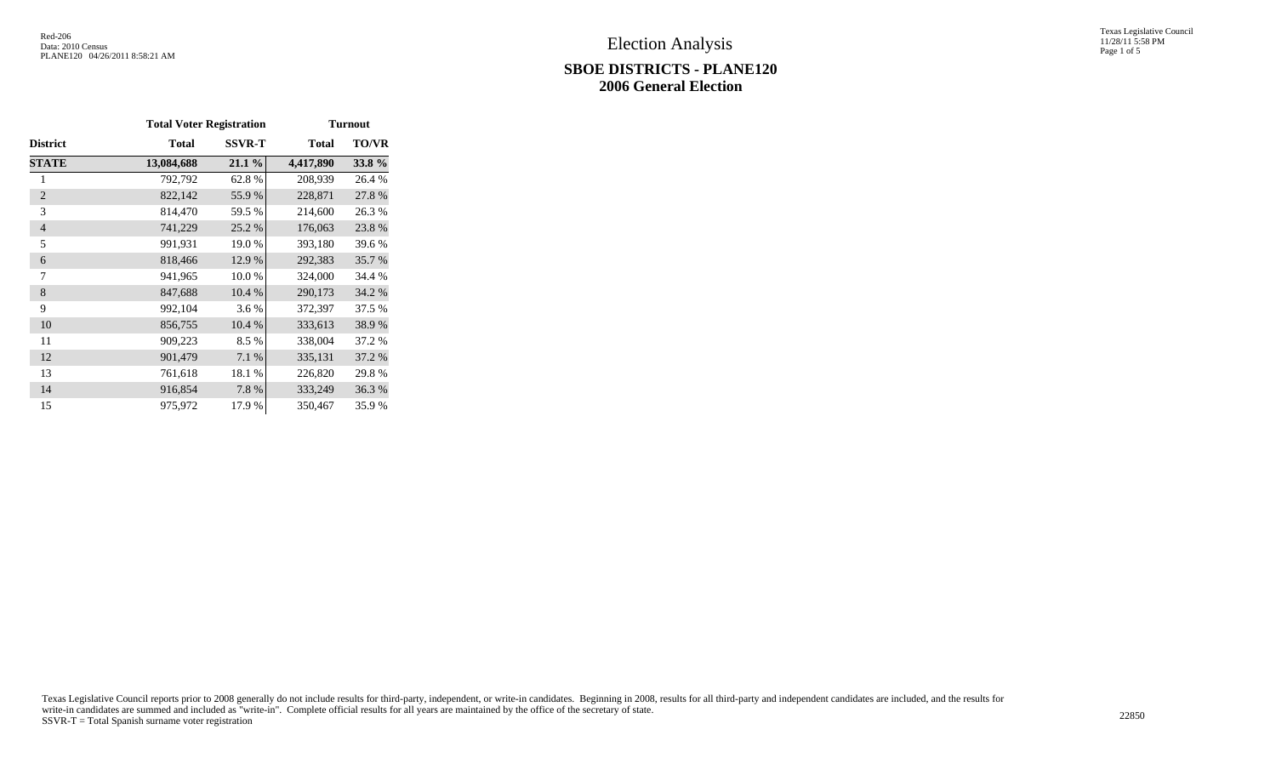## **SBOE DISTRICTS - PLANE120 2006 General Election**

Texas Legislative Council 11/28/11 5:58 PM Page 1 of 5

|                 | <b>Total Voter Registration</b> |               | <b>Turnout</b> |              |  |  |  |
|-----------------|---------------------------------|---------------|----------------|--------------|--|--|--|
| <b>District</b> | <b>Total</b>                    | <b>SSVR-T</b> | <b>Total</b>   | <b>TO/VR</b> |  |  |  |
| <b>STATE</b>    | 13,084,688                      | 21.1%         | 4,417,890      | 33.8%        |  |  |  |
| 1               | 792,792                         | 62.8%         | 208,939        | 26.4 %       |  |  |  |
| $\overline{2}$  | 822,142                         | 55.9%         | 228,871        | 27.8%        |  |  |  |
| 3               | 814,470                         | 59.5 %        | 214,600        | 26.3 %       |  |  |  |
| $\overline{4}$  | 741,229                         | 25.2%         | 176,063        | 23.8%        |  |  |  |
| 5               | 991,931                         | 19.0%         | 393,180        | 39.6 %       |  |  |  |
| 6               | 818,466                         | 12.9 %        | 292,383        | 35.7 %       |  |  |  |
| 7               | 941,965                         | 10.0%         | 324,000        | 34.4 %       |  |  |  |
| 8               | 847,688                         | 10.4 %        | 290,173        | 34.2 %       |  |  |  |
| 9               | 992,104                         | 3.6 %         | 372,397        | 37.5 %       |  |  |  |
| 10              | 856,755                         | 10.4 %        | 333,613        | 38.9%        |  |  |  |
| 11              | 909,223                         | 8.5%          | 338,004        | 37.2 %       |  |  |  |
| 12              | 901,479                         | 7.1%          | 335,131        | 37.2 %       |  |  |  |
| 13              | 761,618                         | 18.1 %        | 226,820        | 29.8%        |  |  |  |
| 14              | 916,854                         | 7.8%          | 333,249        | 36.3%        |  |  |  |
| 15              | 975,972                         | 17.9 %        | 350,467        | 35.9%        |  |  |  |

Texas Legislative Council reports prior to 2008 generally do not include results for third-party, independent, or write-in candidates. Beginning in 2008, results for all third-party and independent candidates are included, write-in candidates are summed and included as "write-in". Complete official results for all years are maintained by the office of the secretary of state. 22850<br>SSVR-T = Total Spanish surname voter registration 22850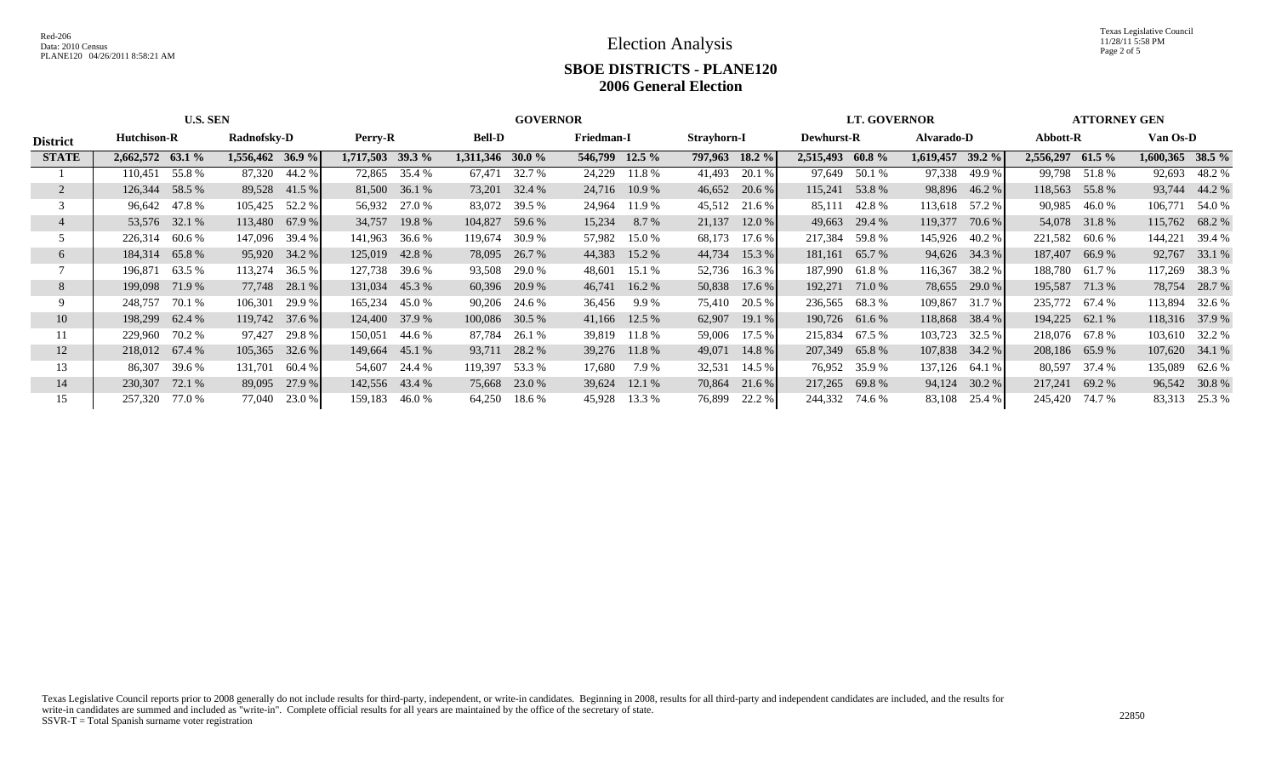|                 | <b>U.S. SEN</b>                   |        |                  |        |                  | <b>GOVERNOR</b> |                    |               |                |               |        |                   | <b>LT. GOVERNOR</b> |                | <b>ATTORNEY GEN</b> |          |                  |               |                    |               |
|-----------------|-----------------------------------|--------|------------------|--------|------------------|-----------------|--------------------|---------------|----------------|---------------|--------|-------------------|---------------------|----------------|---------------------|----------|------------------|---------------|--------------------|---------------|
| <b>District</b> | Radnofsky-D<br><b>Hutchison-R</b> |        | Perry-R          |        | <b>Bell-D</b>    |                 |                    | Friedman-I    |                | Strayhorn-I   |        | <b>Dewhurst-R</b> |                     | Alvarado-D     |                     | Abbott-R |                  | Van Os-D      |                    |               |
| <b>STATE</b>    | 2,662,572 63.1 %                  |        | 1,556,462 36.9 % |        | 1,717,503 39.3 % |                 | $1,311,346$ 30.0 % |               | 546,799 12.5 % |               |        | 797,963 18.2 %    | 2,515,493 60.8 %    |                | 1,619,457           | $39.2\%$ | 2,556,297 61.5 % |               | $1,600,365$ 38.5 % |               |
|                 | 110,451                           | 55.8 % | 87,320           | 44.2 % |                  | 72,865 35.4 %   | 67,471             | 32.7 %        |                | 24,229 11.8 % | 41,493 | 20.1 %            |                     | 97,649 50.1 %  | 97,338              | 49.9 %   |                  | 99,798 51.8 % | 92,693             | 48.2 %        |
|                 | 126,344                           | 58.5 % | 89,528           | 41.5 % |                  | 81,500 36.1 %   | 73,201             | 32.4 %        |                | 24,716 10.9 % | 46,652 | 20.6 %            |                     | 115,241 53.8 % | 98,896              | 46.2 %   | 118,563 55.8 %   |               | 93,744             | 44.2 %        |
|                 | 96,642 47.8 %                     |        | 105,425 52.2 %   |        |                  | 56,932 27.0 %   | 83,072             | 39.5 %        | 24,964         | 11.9 %        | 45,512 | 21.6 %            | 85,111              | 42.8 %         | 113,618             | 57.2 %   | 90,985           | 46.0 %        | 106,771            | 54.0 %        |
|                 | 53,576 32.1 %                     |        | $113,480$ 67.9 % |        | 34,757           | 19.8 %          | 104,827            | 59.6 %        | 15,234         | 8.7 %         | 21,137 | 12.0%             |                     | 49,663 29.4 %  | 119,377             | 70.6 %   |                  | 54,078 31.8 % | 115,762 68.2 %     |               |
|                 | 226,314                           | 60.6 % | 147,096          | 39.4 % | 141,963          | 36.6 %          | 119,674            | 30.9 %        | 57,982         | 15.0 %        | 68,173 | 17.6 %            | 217,384             | 59.8 %         | 145,926             | 40.2 %   | 221,582 60.6 %   |               | 144,221            | 39.4 %        |
| 6               | 184,314 65.8 %                    |        | 95,920 34.2 %    |        | 125,019          | 42.8%           | 78,095             | 26.7 %        | 44,383         | 15.2 %        | 44,734 | 15.3%             | 181,161             | 65.7 %         | 94,626              | 34.3 %   | 187,407 66.9 %   |               | 92,767             | 33.1 %        |
|                 | 196,871                           | 63.5 % | 113,274          | 36.5 % | 127,738          | 39.6 %          | 93,508             | 29.0 %        | 48,601         | 15.1 %        | 52,736 | 16.3 %            | 187,990             | 61.8 %         | 116,367             | 38.2 %   | 188,780 61.7 %   |               | 117,269            | 38.3 %        |
| 8               | 199,098                           | 71.9 % | 77,748           | 28.1 % | 131,034          | 45.3 %          |                    | 60,396 20.9 % | 46,741         | $16.2\%$      | 50,838 | 17.6%             | 192,271             | 71.0 %         | 78,655              | 29.0 %   | 195,587 71.3 %   |               | 78,754             | 28.7 %        |
| 9               | 248,757                           | 70.1 % | 106,301          | 29.9 % | 165,234          | 45.0 %          | 90,206             | 24.6 %        | 36,456         | 9.9 %         | 75,410 | 20.5 %            | 236,565             | 68.3 %         | 109,867             | 31.7 %   | 235,772 67.4 %   |               | 113,894            | 32.6 %        |
| 10              | 198,299 62.4 %                    |        | 119,742 37.6 %   |        | 124,400          | 37.9 %          | 100,086 30.5 %     |               |                | 41,166 12.5 % | 62,907 | 19.1%             |                     | 190,726 61.6 % | 118,868             | 38.4 %   | 194,225 62.1 %   |               | 118,316 37.9 %     |               |
| 11              | 229,960                           | 70.2 % | 97,427           | 29.8 % | 150,051          | 44.6 %          | 87,784             | 26.1 %        |                | 39,819 11.8 % | 59,006 | 17.5 %            | 215,834             | 67.5 %         | 103,723             | 32.5 %   | 218,076 67.8 %   |               | 103,610 32.2 %     |               |
| 12              | 218,012 67.4 %                    |        | 105,365          | 32.6 % | 149,664          | 45.1 %          |                    | 93,711 28.2 % |                | 39,276 11.8 % | 49,071 | 14.8 %            | 207,349             | 65.8%          | 107,838             | 34.2 %   | 208,186 65.9 %   |               | 107,620 34.1 %     |               |
| 13              | 86,307                            | 39.6 % | 131,701          | 60.4 % | 54.607           | 24.4 %          | 119,397            | 53.3 %        | 17,680         | 7.9 %         | 32,531 | 14.5 %            |                     | 76,952 35.9 %  | 137,126             | 64.1 %   |                  | 80,597 37.4 % | 135,089            | 62.6 %        |
| 14              | 230,307                           | 72.1 % | 89,095           | 27.9 % | 142,556 43.4 %   |                 | 75,668             | 23.0 %        |                | 39,624 12.1 % | 70,864 | 21.6 %            | 217,265             | 69.8%          | 94,124              | 30.2 %   | 217,241          | 69.2 %        |                    | 96,542 30.8 % |
| 15              | 257,320                           | 77.0 % | 77,040           | 23.0 % | 159,183          | 46.0%           | 64,250             | 18.6 %        | 45,928         | 13.3 %        | 76,899 | 22.2 %            | 244,332             | 74.6 %         | 83,108              | 25.4 %   | 245,420 74.7 %   |               | 83,313             | 25.3 %        |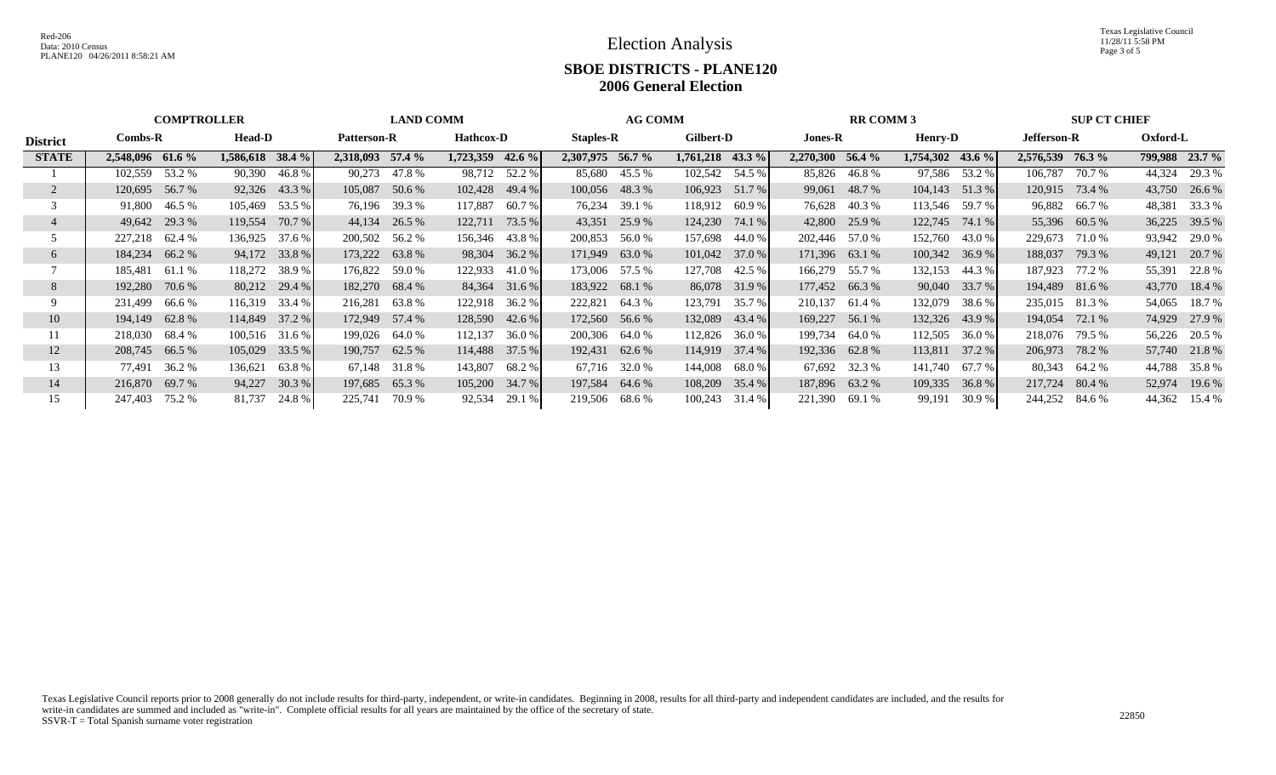|                 | <b>COMPTROLLER</b>         |        |                                        |                 | <b>LAND COMM</b> |                               |                  |               | <b>AG COMM</b>   |                                  |                  |        | <b>RR COMM 3</b> |                |           |          | <b>SUP CT CHIEF</b> |               |        |                |
|-----------------|----------------------------|--------|----------------------------------------|-----------------|------------------|-------------------------------|------------------|---------------|------------------|----------------------------------|------------------|--------|------------------|----------------|-----------|----------|---------------------|---------------|--------|----------------|
| <b>District</b> | <b>Head-D</b><br>$Combs-R$ |        | <b>Patterson-R</b><br><b>Hathcox-D</b> |                 |                  | <b>Staples-R</b><br>Gilbert-D |                  |               |                  | <b>Jones-R</b><br><b>Henry-D</b> |                  |        | Jefferson-R      |                | Oxford-L  |          |                     |               |        |                |
| <b>STATE</b>    | 2,548,096 61.6 %           |        | $1,586,618$ 38.4 %                     |                 | 2,318,093 57.4 % |                               | 1,723,359 42.6 % |               | 2.307.975 56.7 % |                                  | 1,761,218 43.3 % |        | 2,270,300 56.4 % |                | 1,754,302 | 43.6 $%$ | 2,576,539           | <b>76.3</b> % |        | 799,988 23.7 % |
|                 | 102,559                    | 53.2 % | 90,390                                 | 46.8%           | 90.273           | 47.8 %                        |                  | 98,712 52.2 % | 85,680           | 45.5 %                           | 102,542 54.5 %   |        |                  | 85,826 46.8%   | 97,586    | 53.2 %   | 106,787             | 70.7 %        | 44,324 | 29.3 %         |
|                 | 120,695                    | 56.7 % |                                        | 92,326 43.3 %   | 105,087          | 50.6 %                        | 102,428          | 49.4 %        |                  | 100,056 48.3 %                   | 106,923          | 51.7 % |                  | 99,061 48.7 %  | 104,143   | 51.3%    | 120,915             | 73.4 %        | 43,750 | 26.6 %         |
|                 | 91.800                     | 46.5 % | 105,469                                | 53.5 %          |                  | 76,196 39.3 %                 | 117,887          | 60.7 %        | 76,234           | 39.1 %                           | 118,912          | 60.9 % |                  | 76,628 40.3 %  | 113,546   | 59.7 %   |                     | 96,882 66.7 % | 48,381 | 33.3 %         |
|                 | 49,642 29.3 %              |        | 119,554                                | 70.7 %          | 44,134           | 26.5 %                        | 122,711          | 73.5 %        | 43,351           | 25.9 %                           | 124,230          | 74.1 % |                  | 42,800 25.9 %  | 122,745   | 74.1 %   |                     | 55,396 60.5 % | 36,225 | 39.5 %         |
|                 | 227,218 62.4 %             |        | 136,925                                | 37.6 %          | 200,502          | 56.2 %                        | 156,346 43.8 %   |               | 200,853          | 56.0%                            | 157,698          | 44.0 % |                  | 202,446 57.0 % | 152,760   | 43.0 %   | 229,673 71.0 %      |               | 93,942 | 29.0 %         |
|                 | 184,234                    | 66.2%  |                                        | 94,172 33.8 %   | 173,222          | 63.8%                         | 98,304           | 36.2 %        | 171,949          | 63.0 %                           | 101,042          | 37.0 % |                  | 171,396 63.1 % | 100,342   | 36.9%    | 188,037             | 79.3 %        | 49,121 | 20.7 %         |
|                 | 185,481                    | 61.1 % | 118,272                                | 38.9%           | 176,822          | 59.0 %                        | 122,933          | 41.0 %        | 173,006 57.5 %   |                                  | 127,708          | 42.5 % |                  | 166,279 55.7 % | 132,153   | 44.3 %   | 187,923 77.2 %      |               | 55,391 | 22.8 %         |
| 8               | 192,280                    | 70.6 % |                                        | $80,212$ 29.4 % | 182,270          | 68.4 %                        | 84,364           | 31.6 %        | 183,922 68.1 %   |                                  | 86,078           | 31.9 % |                  | 177,452 66.3 % | 90,040    | 33.7 %   | 194,489 81.6 %      |               |        | 43,770 18.4 %  |
|                 | 231,499                    | 66.6 % | 116,319                                | 33.4 %          | 216,281          | 63.8 %                        | 122,918          | 36.2 %        | 222,821          | 64.3 %                           | 123,791          | 35.7 % | 210,137          | 61.4 %         | 132,079   | 38.6 %   | 235,015 81.3 %      |               | 54,065 | 18.7 %         |
| 10              | 194,149                    | 62.8%  | 114,849 37.2 %                         |                 | 172,949          | 57.4 %                        | 128,590          | 42.6 %        | 172,560          | 56.6 %                           | 132,089          | 43.4 % | 169,227          | 56.1 %         | 132,326   | 43.9 %   | 194,054             | 72.1 %        | 74,929 | 27.9 %         |
| 11.             | 218,030                    | 68.4 % | 100,516 31.6 %                         |                 | 199,026          | 64.0 %                        | 112,137          | 36.0%         | 200,306          | 64.0 %                           | 112,826          | 36.0%  | 199,734          | 64.0 %         | 112,505   | 36.0%    | 218,076             | 79.5 %        | 56,226 | 20.5 %         |
| 12              | 208,745 66.5 %             |        | 105,029                                | 33.5 %          | 190,757          | 62.5 %                        | 114,488 37.5 %   |               |                  | 192,431 62.6 %                   | 114,919          | 37.4 % |                  | 192,336 62.8%  | 113,811   | 37.2 %   | 206,973             | 78.2 %        |        | 57,740 21.8 %  |
| 13              | 77,491 36.2 %              |        | 136,621                                | 63.8%           | 67.148           | 31.8 %                        | 143,807          | 68.2 %        |                  | 67,716 32.0 %                    | 144,008          | 68.0 % |                  | 67,692 32.3 %  | 141,740   | 67.7 %   |                     | 80,343 64.2 % | 44.788 | 35.8 %         |
| 14              | 216,870                    | 69.7 % | 94,227                                 | 30.3%           | 197,685          | 65.3%                         | 105,200          | 34.7 %        | 197,584          | 64.6 %                           | 108,209          | 35.4 % |                  | 187,896 63.2 % | 109,335   | 36.8%    | 217,724             | 80.4 %        | 52,974 | 19.6 %         |
|                 | 247,403                    | 75.2 % | 81,737                                 | 24.8%           | 225,741          | 70.9%                         | 92,534           | 29.1 %        | 219,506          | 68.6 %                           | 100,243          | 31.4 % | 221,390          | 69.1 %         | 99,191    | 30.9%    | 244,252             | 84.6 %        | 44,362 | 15.4 %         |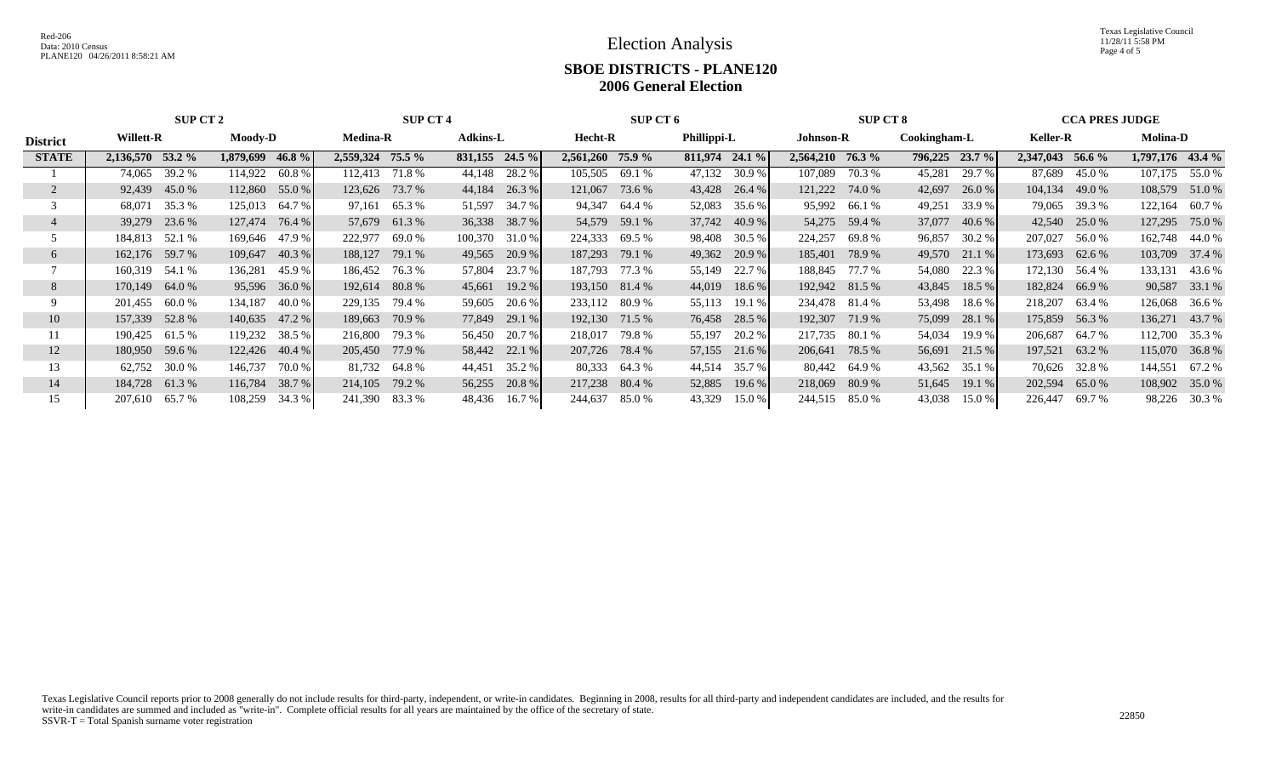Texas Legislative Council 11/28/11 5:58 PM Page 4 of 5

|                 |                             | SUP CT 2           |                       | <b>SUP CT 4</b>   |                     | <b>SUP CT 6</b>        |                   | <b>SUP CT 8</b>  | <b>CCA PRES JUDGE</b> |                   |  |  |
|-----------------|-----------------------------|--------------------|-----------------------|-------------------|---------------------|------------------------|-------------------|------------------|-----------------------|-------------------|--|--|
| <b>District</b> | Willett-R<br><b>Moody-D</b> |                    | <b>Medina-R</b>       | <b>Adkins-L</b>   |                     | Phillippi-L<br>Hecht-R |                   | Cookingham-L     | <b>Keller-R</b>       | <b>Molina-D</b>   |  |  |
| <b>STATE</b>    | 2,136,570 53.2 %            | 46.8%<br>1,879,699 | 2,559,324<br>$75.5\%$ | $831,155$ 24.5 %  | 2,561,260<br>75.9 % | $811,974$ 24.1 %       | 2,564,210 76.3 %  | 796,225 23.7 %   | 2,347,043<br>56.6 %   | 1,797,176 43.4 %  |  |  |
|                 | 39.2 %<br>74,065            | 114,922<br>60.8 %  | 112.413<br>71.8 %     | 28.2 %<br>44,148  | 105,505<br>69.1 %   | 47,132<br>30.9 %       | 107,089<br>70.3 % | 45,281<br>29.7 % | 87,689<br>45.0 %      | 55.0 %<br>107,175 |  |  |
|                 | 92,439<br>45.0 %            | 112,860<br>55.0 %  | 73.7 %<br>123,626     | 44,184<br>26.3 %  | 121,067<br>73.6 %   | 43,428<br>26.4 %       | 121,222<br>74.0 % | 42,697<br>26.0%  | 104,134<br>49.0 %     | 108,579<br>51.0%  |  |  |
|                 | 35.3 %<br>68.071            | 64.7 %<br>125,013  | 65.3 %<br>97,161      | 34.7 %<br>51,597  | 94,347<br>64.4 %    | 35.6 %<br>52,083       | 95,992<br>66.1 %  | 49,251<br>33.9 % | 79,065 39.3 %         | 122,164<br>60.7 % |  |  |
|                 | 23.6 %<br>39,279            | 127,474<br>76.4 %  | 57,679<br>61.3%       | 36,338 38.7 %     | 54,579<br>59.1 %    | 37,742 40.9 %          | 54,275<br>59.4 %  | 37,077<br>40.6 % | 25.0 %<br>42,540      | 127,295<br>75.0 % |  |  |
|                 | 52.1 %<br>184,813           | 169,646<br>47.9 %  | 222,977<br>69.0 %     | 100,370<br>31.0 % | 224,333<br>69.5 %   | 98,408<br>30.5 %       | 224,257<br>69.8 % | 96,857<br>30.2 % | 207,027<br>56.0 %     | 162,748<br>44.0 % |  |  |
| 6               | 162,176 59.7 %              | 40.3 %<br>109,647  | 79.1 %<br>188,127     | 49,565<br>20.9 %  | 187,293<br>79.1 %   | 49,362<br>20.9 %       | 185,401<br>78.9 % | 49,570<br>21.1 % | 173,693<br>62.6 %     | 103,709<br>37.4 % |  |  |
|                 | 54.1 %<br>160,319           | 45.9%<br>136,281   | 186,452<br>76.3 %     | 23.7 %<br>57,804  | 187,793<br>77.3 %   | 22.7 %<br>55,149       | 188,845<br>77.7 % | 54,080<br>22.3 % | 172,130<br>56.4 %     | 133,131<br>43.6 % |  |  |
| 8               | 64.0 %<br>170,149           | 36.0 %<br>95,596   | 80.8%<br>192,614      | 19.2 %<br>45,661  | 193,150 81.4 %      | 44,019<br>18.6 %       | 192,942 81.5 %    | 18.5 %<br>43,845 | 182,824<br>66.9%      | 90,587<br>33.1 %  |  |  |
|                 | 201,455<br>60.0%            | 134,187<br>40.0 %  | 79.4 %<br>229,135     | 59,605<br>20.6 %  | 233,112 80.9 %      | 55,113<br>19.1%        | 234,478<br>81.4 % | 53,498<br>18.6 % | 218,207<br>63.4 %     | 126,068<br>36.6 % |  |  |
| 10              | 157,339<br>52.8%            | 47.2 %<br>140,635  | 70.9 %<br>189,663     | 77,849<br>29.1 %  | 192,130 71.5 %      | 76,458<br>28.5 %       | 192,307<br>71.9 % | 75,099<br>28.1 % | 175,859<br>56.3%      | 136,271<br>43.7 % |  |  |
|                 | 190,425<br>61.5 %           | 38.5 %<br>119,232  | 79.3 %<br>216,800     | 56,450<br>20.7 %  | 218,017<br>79.8 %   | 20.2 %<br>55,197       | 217,735<br>80.1 % | 54,034<br>19.9 % | 206,687<br>64.7 %     | 112,700 35.3 %    |  |  |
| 12              | 59.6 %<br>180,950           | 122,426<br>40.4 %  | 77.9 %<br>205,450     | 58,442 22.1 %     | 207,726<br>78.4 %   | 57,155<br>21.6 %       | 206,641 78.5 %    | 56,691<br>21.5 % | 63.2 %<br>197,521     | 115,070 36.8 %    |  |  |
| 13              | 30.0 %<br>62,752            | 146,737<br>70.0 %  | 81,732<br>64.8 %      | 35.2 %<br>44,451  | 80,333<br>64.3 %    | 35.7 %<br>44,514       | 80,442<br>64.9 %  | 43,562<br>35.1 % | 70,626 32.8 %         | 144,551<br>67.2 % |  |  |
| 14              | 184,728<br>61.3%            | 38.7 %<br>116,784  | 79.2 %<br>214,105     | 20.8 %<br>56,255  | 217,238<br>80.4 %   | 52,885<br>19.6 %       | 218,069<br>80.9%  | 19.1 %<br>51,645 | 202,594<br>65.0%      | 108,902<br>35.0 % |  |  |
| 15              | 65.7 %<br>207,610           | 34.3 %<br>108,259  | 241,390<br>83.3 %     | 48,436<br>16.7 %  | 85.0 %<br>244,637   | 43,329<br>15.0 %       | 85.0 %<br>244,515 | 43,038<br>15.0 % | 226,447<br>69.7 %     | 98,226<br>30.3 %  |  |  |